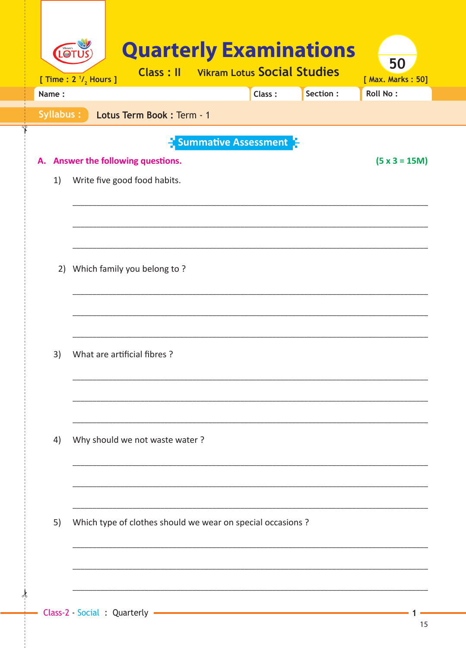| Name: | [ Time : $2^{1/2}$ Hours ] |                                                             | <b>Class: Il</b> Vikram Lotus Social Studies | Class: | Section : | 50<br>[ Max. Marks: 50]<br><b>Roll No:</b> |
|-------|----------------------------|-------------------------------------------------------------|----------------------------------------------|--------|-----------|--------------------------------------------|
|       | Syllabus:                  | Lotus Term Book : Term - 1                                  |                                              |        |           |                                            |
|       |                            |                                                             | <b>E</b> Summative Assessment                |        |           |                                            |
|       |                            | Answer the following questions.                             |                                              |        |           | $(5 x 3 = 15M)$                            |
| 1)    |                            | Write five good food habits.                                |                                              |        |           |                                            |
|       |                            |                                                             |                                              |        |           |                                            |
|       |                            |                                                             |                                              |        |           |                                            |
| 2)    |                            | Which family you belong to?                                 |                                              |        |           |                                            |
|       |                            |                                                             |                                              |        |           |                                            |
|       |                            |                                                             |                                              |        |           |                                            |
|       |                            |                                                             |                                              |        |           |                                            |
| 3)    |                            | What are artificial fibres?                                 |                                              |        |           |                                            |
|       |                            |                                                             |                                              |        |           |                                            |
|       |                            |                                                             |                                              |        |           |                                            |
| 4)    |                            | Why should we not waste water?                              |                                              |        |           |                                            |
|       |                            |                                                             |                                              |        |           |                                            |
|       |                            |                                                             |                                              |        |           |                                            |
|       |                            |                                                             |                                              |        |           |                                            |
| 5)    |                            | Which type of clothes should we wear on special occasions ? |                                              |        |           |                                            |
|       |                            |                                                             |                                              |        |           |                                            |
|       |                            |                                                             |                                              |        |           |                                            |

ᢢ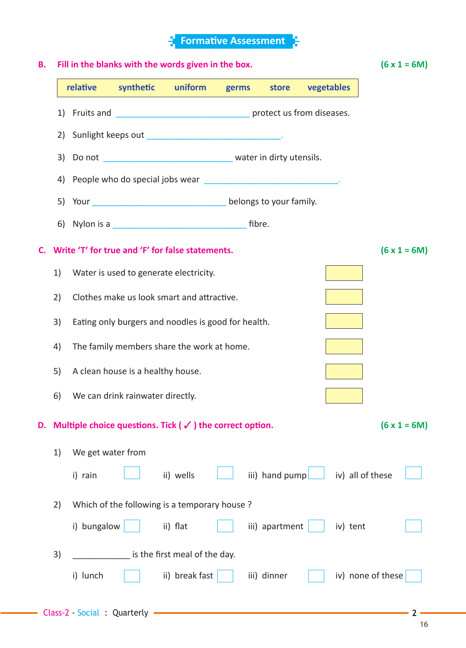## **Formati ve Assessment B. Fill in the blanks with the words given in the box. (6 x 1 = 6M) relati ve syntheti c uniform germs store vegetables** 1) Fruits and **the analysis of the set of the set of the set of the set of the set of the set of the set of the set of the set of the set of the set of the set of the set of the set of the set of the set of the set of the** 2) Sunlight keeps out containing the state of the state of the state of the state of the state of the state of 3) Do not \_\_\_\_\_\_\_\_\_\_\_\_\_\_\_\_\_\_\_\_\_\_\_\_\_\_\_\_\_\_\_\_\_ water in dirty utensils. 4) People who do special jobs wear 5) Your contract the belongs to your family. 6) Nylon is a **contract of the set of the set of the set of the set of the set of the set of the set of the set of the set of the set of the set of the set of the set of the set of the set of the set of the set of the set C.** Write 'T' for true and 'F' for false statements.  $(6 \times 1 = 6M)$  1) Water is used to generate electricity. 2) Clothes make us look smart and attractive. 3) Eating only burgers and noodles is good for health. 4) The family members share the work at home. 5) A clean house is a healthy house. 6) We can drink rainwater directly. **D.** Multiple choice questions. Tick ( $\checkmark$ ) the correct option. (6 x 1 = 6M) 1) We get water from i) rain ii) wells iii) hand pump iv) all of these 2) Which of the following is a temporary house ? i) bungalow ii) fl at iii) apartment iv) tent 3) and is the first meal of the day. i) lunch  $\begin{vmatrix} i & i \end{vmatrix}$  ii) break fast iii) dinner iv) none of these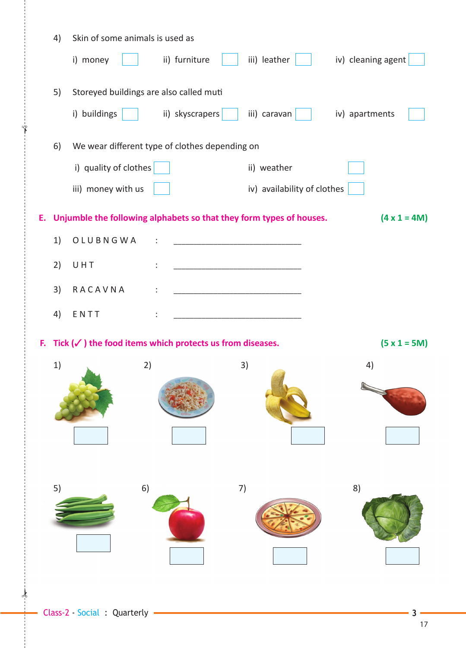|    | 4) | Skin of some animals is used as |                                                                     |                                                                                                                      |                     |
|----|----|---------------------------------|---------------------------------------------------------------------|----------------------------------------------------------------------------------------------------------------------|---------------------|
|    |    | i) money                        | ii) furniture                                                       | iii) leather                                                                                                         | iv) cleaning agent  |
|    | 5) |                                 | Storeyed buildings are also called muti                             |                                                                                                                      |                     |
|    |    | i) buildings                    | ii) skyscrapers                                                     | iii) caravan                                                                                                         | iv) apartments      |
|    | 6) |                                 | We wear different type of clothes depending on                      |                                                                                                                      |                     |
|    |    | i) quality of clothes           |                                                                     | ii) weather                                                                                                          |                     |
|    |    | iii) money with us              |                                                                     | iv) availability of clothes                                                                                          |                     |
| Е. |    |                                 |                                                                     | Unjumble the following alphabets so that they form types of houses.                                                  | $(4 \times 1 = 4M)$ |
|    | 1) | OLUBNGWA                        |                                                                     | <u> 1989 - Johann Barbara, martxa alemaniar a</u>                                                                    |                     |
|    | 2) | UHT                             |                                                                     | <u> 1989 - Johann Barbara, martin amerikan basar dan berasal dalam basa dalam basar dalam basar dalam basa dalam</u> |                     |
|    | 3) | RACAVNA                         |                                                                     |                                                                                                                      |                     |
|    | 4) | ENTT                            |                                                                     |                                                                                                                      |                     |
|    |    |                                 |                                                                     |                                                                                                                      |                     |
| В. |    |                                 | Tick $(\checkmark)$ the food items which protects us from diseases. |                                                                                                                      | $(5 x 1 = 5M)$      |
|    | 1) |                                 | 2)                                                                  | 3)                                                                                                                   | 4)                  |
|    |    |                                 |                                                                     |                                                                                                                      |                     |
|    |    |                                 |                                                                     |                                                                                                                      |                     |
|    |    |                                 |                                                                     |                                                                                                                      |                     |
|    |    |                                 |                                                                     |                                                                                                                      |                     |
|    |    |                                 |                                                                     |                                                                                                                      |                     |
|    | 5) |                                 | 6)                                                                  | 7)                                                                                                                   | 8)                  |
|    |    |                                 |                                                                     |                                                                                                                      |                     |
|    |    |                                 |                                                                     |                                                                                                                      |                     |
|    |    |                                 |                                                                     |                                                                                                                      |                     |

 $\frac{1}{2}$ 

✁